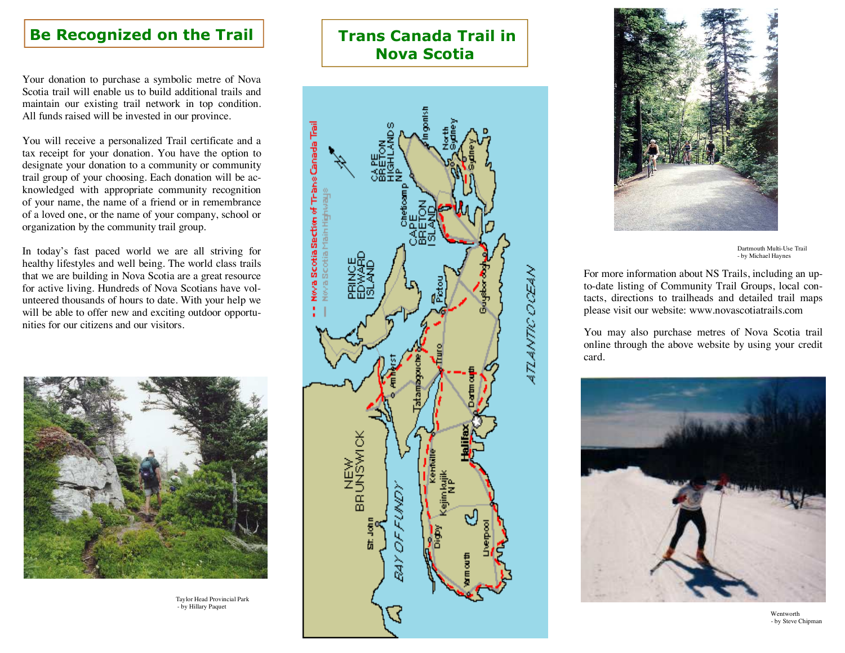## Be Recognized on the Trail

Your donation to purchase a symbolic metre of Nova Scotia trail will enable us to build additional trails and maintain our existing trail network in top condition. All funds raised will be invested in our province.

You will receive a personalized Trail certificate and a tax receipt for your donation. You have the option to designate your donation to a community or community trail group of your choosing. Each donation will be acknowledged with appropriate community recognition of your name, the name of a friend or in remembrance of a loved one, or the name of your company, school or organization by the community trail group.

In today's fast paced world we are all striving for healthy lifestyles and well being. The world class trails that we are building in Nova Scotia are a great resource for active living. Hundreds of Nova Scotians have volunteered thousands of hours to date. With your help we will be able to offer new and exciting outdoor opportunities for our citizens and our visitors.



 Taylor Head Provincial Park - by Hillary Paquet

## Trans Canada Trail in Nova Scotia





Dartmouth Multi-Use Trail - by Michael Haynes

For more information about NS Trails, including an upto-date listing of Community Trail Groups, local contacts, directions to trailheads and detailed trail maps please visit our website: www.novascotiatrails.com

You may also purchase metres of Nova Scotia trail online through the above website by using your credit card.



 Wentworth - by Steve Chipman